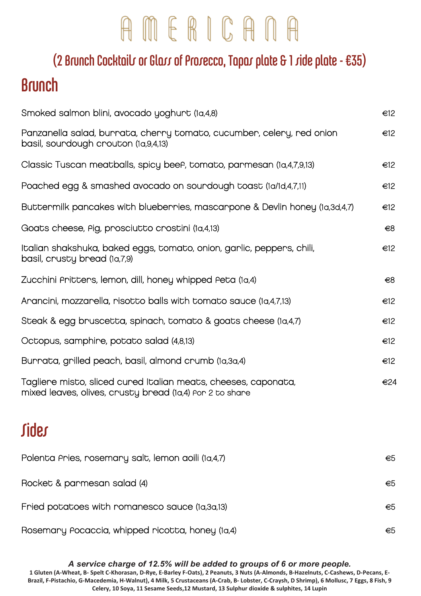## AMERICANA

### (2 Brunch Cocktails or Glass of Prosecco, Tapas plate & 1 side plate - €35) Brunch

| Smoked salmon blini, avocado yoghurt (1a,4,8)                                                                              | $\epsilon$ 12 |
|----------------------------------------------------------------------------------------------------------------------------|---------------|
| Panzanella salad, burrata, cherry tomato, cucumber, celery, red onion<br>basil, soundough crouton (1a,9,4,13)              | e12           |
| Classic Tuscan meatballs, spicy beef, tomato, parmesan (1a,4,7,9,13)                                                       | $\epsilon$ 12 |
| Poached egg & smashed avocado on sourdough toast (1a/1d,4,7,11)                                                            | $\epsilon$ 12 |
| Buttermilk pancakes with blueberries, mascarpone & Devlin honey (1a,3d,4,7)                                                | $\epsilon$ 12 |
| Goats cheese, Pig, prosciutto crostini (1a,4,13)                                                                           | $\epsilon$ 8  |
| Italian shakshuka, baked eggs, tomato, onion, garlic, peppers, chili,<br>basil, crusty bread (1a,7,9)                      | $\epsilon$ 12 |
| Zucchini Aritters, lemon, dill, honey whipped Aeta (1a,4)                                                                  | €8            |
| Arancini, mozzarella, risotto balls with tomato sauce (1a,4,7,13)                                                          | $\epsilon$ 12 |
| Steak & egg bruscetta, spinach, tomato & goats cheese (1a,4,7)                                                             | €12           |
| Octopus, samphine, potato salad (4,8,13)                                                                                   | $\epsilon$ 12 |
| Burrata, grilled peach, basil, almond crumb (1a,3a,4)                                                                      | $\epsilon$ 12 |
| Tagliere misto, sliced cured Italian meats, cheeses, caponata,<br>mixed leaves, olives, crusty bread (1a,4) Por 2 to share | $\epsilon$ 24 |
| <b>Tider</b>                                                                                                               |               |

| Polenta Aries, rosemary salt, lemon aoili (1a,4,7) | €5. |  |
|----------------------------------------------------|-----|--|
| Rocket & parmesan salad (4)                        | €5. |  |
| Fried potatoes with romanesco sauce (1a,3a,13)     | €5  |  |
| Rosemary Pocaccia, whipped ricotta, honey (1a,4)   | €5  |  |

*A service charge of 12.5% will be added to groups of 6 or more people.*

**1 Gluten (A-Wheat, B- Spelt C-Khorasan, D-Rye, E-Barley F-Oats), 2 Peanuts, 3 Nuts (A-Almonds, B-Hazelnuts, C-Cashews, D-Pecans, E-Brazil, F-Pistachio, G-Macedemia, H-Walnut), 4 Milk, 5 Crustaceans (A-Crab, B- Lobster, C-Craysh, D Shrimp), 6 Mollusc, 7 Eggs, 8 Fish, 9 Celery, 10 Soya, 11 Sesame Seeds,12 Mustard, 13 Sulphur dioxide & sulphites, 14 Lupin**